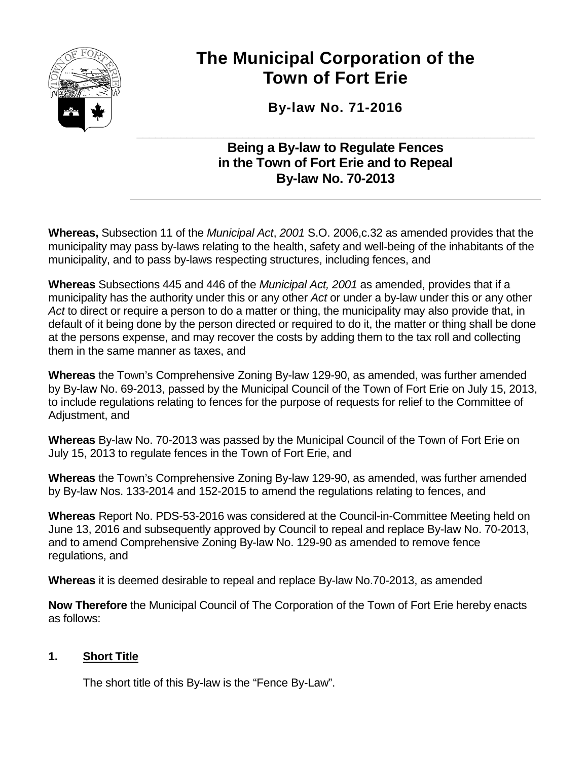

# **The Municipal Corporation of the Town of Fort Erie**

**By-law No. 71-2016**

#### **\_\_\_\_\_\_\_\_\_\_\_\_\_\_\_\_\_\_\_\_\_\_\_\_\_\_\_\_\_\_\_\_\_\_\_\_\_\_\_\_\_\_\_\_\_\_\_\_\_\_\_\_\_\_\_\_\_\_\_\_\_\_\_\_ Being a By-law to Regulate Fences in the Town of Fort Erie and to Repeal By-law No. 70-2013**

**Whereas,** Subsection 11 of the *Municipal Act*, *2001* S.O. 2006,c.32 as amended provides that the municipality may pass by-laws relating to the health, safety and well-being of the inhabitants of the municipality, and to pass by-laws respecting structures, including fences, and

**Whereas** Subsections 445 and 446 of the *Municipal Act, 2001* as amended, provides that if a municipality has the authority under this or any other *Act* or under a by-law under this or any other *Act* to direct or require a person to do a matter or thing, the municipality may also provide that, in default of it being done by the person directed or required to do it, the matter or thing shall be done at the persons expense, and may recover the costs by adding them to the tax roll and collecting them in the same manner as taxes, and

**Whereas** the Town's Comprehensive Zoning By-law 129-90, as amended, was further amended by By-law No. 69-2013, passed by the Municipal Council of the Town of Fort Erie on July 15, 2013, to include regulations relating to fences for the purpose of requests for relief to the Committee of Adjustment, and

**Whereas** By-law No. 70-2013 was passed by the Municipal Council of the Town of Fort Erie on July 15, 2013 to regulate fences in the Town of Fort Erie, and

**Whereas** the Town's Comprehensive Zoning By-law 129-90, as amended, was further amended by By-law Nos. 133-2014 and 152-2015 to amend the regulations relating to fences, and

**Whereas** Report No. PDS-53-2016 was considered at the Council-in-Committee Meeting held on June 13, 2016 and subsequently approved by Council to repeal and replace By-law No. 70-2013, and to amend Comprehensive Zoning By-law No. 129-90 as amended to remove fence regulations, and

**Whereas** it is deemed desirable to repeal and replace By-law No.70-2013, as amended

**Now Therefore** the Municipal Council of The Corporation of the Town of Fort Erie hereby enacts as follows:

## **1. Short Title**

The short title of this By-law is the "Fence By-Law".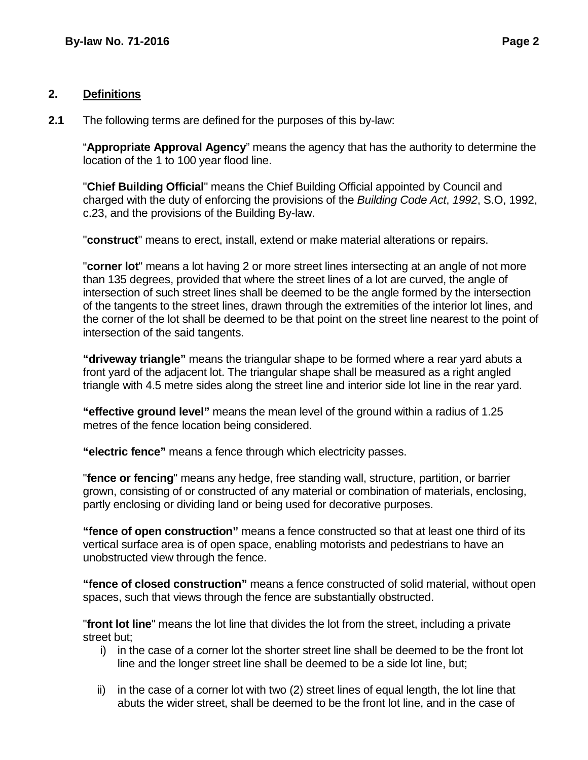#### **2. Definitions**

**2.1** The following terms are defined for the purposes of this by-law:

"**Appropriate Approval Agency**" means the agency that has the authority to determine the location of the 1 to 100 year flood line.

"**Chief Building Official**" means the Chief Building Official appointed by Council and charged with the duty of enforcing the provisions of the *Building Code Act*, *1992*, S.O, 1992, c.23, and the provisions of the Building By-law.

"**construct**" means to erect, install, extend or make material alterations or repairs.

"**corner lot**" means a lot having 2 or more street lines intersecting at an angle of not more than 135 degrees, provided that where the street lines of a lot are curved, the angle of intersection of such street lines shall be deemed to be the angle formed by the intersection of the tangents to the street lines, drawn through the extremities of the interior lot lines, and the corner of the lot shall be deemed to be that point on the street line nearest to the point of intersection of the said tangents.

**"driveway triangle"** means the triangular shape to be formed where a rear yard abuts a front yard of the adjacent lot. The triangular shape shall be measured as a right angled triangle with 4.5 metre sides along the street line and interior side lot line in the rear yard.

**"effective ground level"** means the mean level of the ground within a radius of 1.25 metres of the fence location being considered.

**"electric fence"** means a fence through which electricity passes.

"**fence or fencing**" means any hedge, free standing wall, structure, partition, or barrier grown, consisting of or constructed of any material or combination of materials, enclosing, partly enclosing or dividing land or being used for decorative purposes.

**"fence of open construction"** means a fence constructed so that at least one third of its vertical surface area is of open space, enabling motorists and pedestrians to have an unobstructed view through the fence.

**"fence of closed construction"** means a fence constructed of solid material, without open spaces, such that views through the fence are substantially obstructed.

"**front lot line**" means the lot line that divides the lot from the street, including a private street but;

- i) in the case of a corner lot the shorter street line shall be deemed to be the front lot line and the longer street line shall be deemed to be a side lot line, but;
- ii) in the case of a corner lot with two (2) street lines of equal length, the lot line that abuts the wider street, shall be deemed to be the front lot line, and in the case of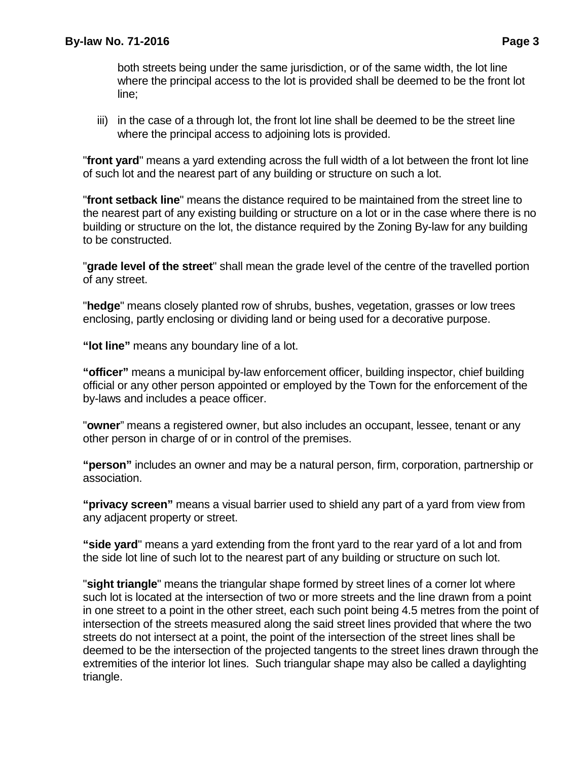both streets being under the same jurisdiction, or of the same width, the lot line where the principal access to the lot is provided shall be deemed to be the front lot line;

iii) in the case of a through lot, the front lot line shall be deemed to be the street line where the principal access to adjoining lots is provided.

"**front yard**" means a yard extending across the full width of a lot between the front lot line of such lot and the nearest part of any building or structure on such a lot.

"**front setback line**" means the distance required to be maintained from the street line to the nearest part of any existing building or structure on a lot or in the case where there is no building or structure on the lot, the distance required by the Zoning By-law for any building to be constructed.

"**grade level of the street**" shall mean the grade level of the centre of the travelled portion of any street.

"**hedge**" means closely planted row of shrubs, bushes, vegetation, grasses or low trees enclosing, partly enclosing or dividing land or being used for a decorative purpose.

**"lot line"** means any boundary line of a lot.

**"officer"** means a municipal by-law enforcement officer, building inspector, chief building official or any other person appointed or employed by the Town for the enforcement of the by-laws and includes a peace officer.

"**owner**" means a registered owner, but also includes an occupant, lessee, tenant or any other person in charge of or in control of the premises.

**"person"** includes an owner and may be a natural person, firm, corporation, partnership or association.

**"privacy screen"** means a visual barrier used to shield any part of a yard from view from any adjacent property or street.

**"side yard**" means a yard extending from the front yard to the rear yard of a lot and from the side lot line of such lot to the nearest part of any building or structure on such lot.

"**sight triangle**" means the triangular shape formed by street lines of a corner lot where such lot is located at the intersection of two or more streets and the line drawn from a point in one street to a point in the other street, each such point being 4.5 metres from the point of intersection of the streets measured along the said street lines provided that where the two streets do not intersect at a point, the point of the intersection of the street lines shall be deemed to be the intersection of the projected tangents to the street lines drawn through the extremities of the interior lot lines. Such triangular shape may also be called a daylighting triangle.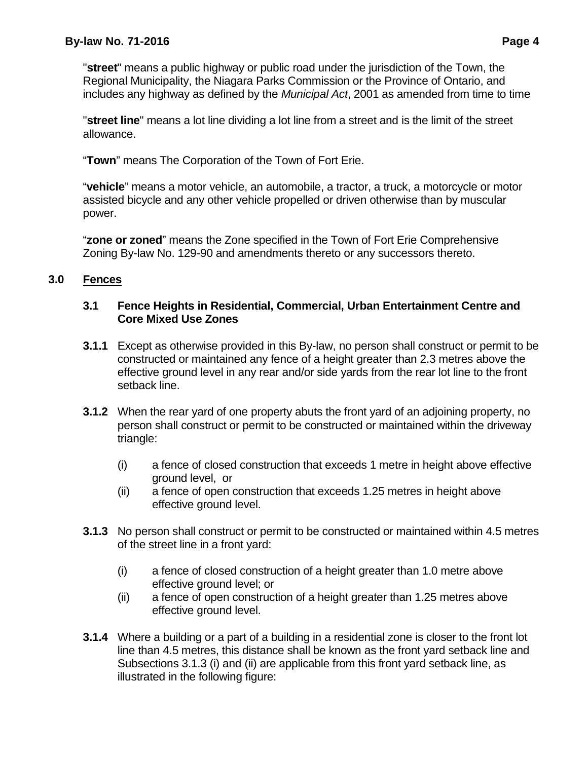"**street**" means a public highway or public road under the jurisdiction of the Town, the Regional Municipality, the Niagara Parks Commission or the Province of Ontario, and includes any highway as defined by the *Municipal Act*, 2001 as amended from time to time

"**street line**" means a lot line dividing a lot line from a street and is the limit of the street allowance.

"**Town**" means The Corporation of the Town of Fort Erie.

"**vehicle**" means a motor vehicle, an automobile, a tractor, a truck, a motorcycle or motor assisted bicycle and any other vehicle propelled or driven otherwise than by muscular power.

"**zone or zoned**" means the Zone specified in the Town of Fort Erie Comprehensive Zoning By-law No. 129-90 and amendments thereto or any successors thereto.

## **3.0 Fences**

#### **3.1 Fence Heights in Residential, Commercial, Urban Entertainment Centre and Core Mixed Use Zones**

- **3.1.1** Except as otherwise provided in this By-law, no person shall construct or permit to be constructed or maintained any fence of a height greater than 2.3 metres above the effective ground level in any rear and/or side yards from the rear lot line to the front setback line.
- **3.1.2** When the rear yard of one property abuts the front yard of an adjoining property, no person shall construct or permit to be constructed or maintained within the driveway triangle:
	- (i) a fence of closed construction that exceeds 1 metre in height above effective ground level, or
	- (ii) a fence of open construction that exceeds 1.25 metres in height above effective ground level.
- **3.1.3** No person shall construct or permit to be constructed or maintained within 4.5 metres of the street line in a front yard:
	- (i) a fence of closed construction of a height greater than 1.0 metre above effective ground level; or
	- (ii) a fence of open construction of a height greater than 1.25 metres above effective ground level.
- **3.1.4** Where a building or a part of a building in a residential zone is closer to the front lot line than 4.5 metres, this distance shall be known as the front yard setback line and Subsections 3.1.3 (i) and (ii) are applicable from this front yard setback line, as illustrated in the following figure: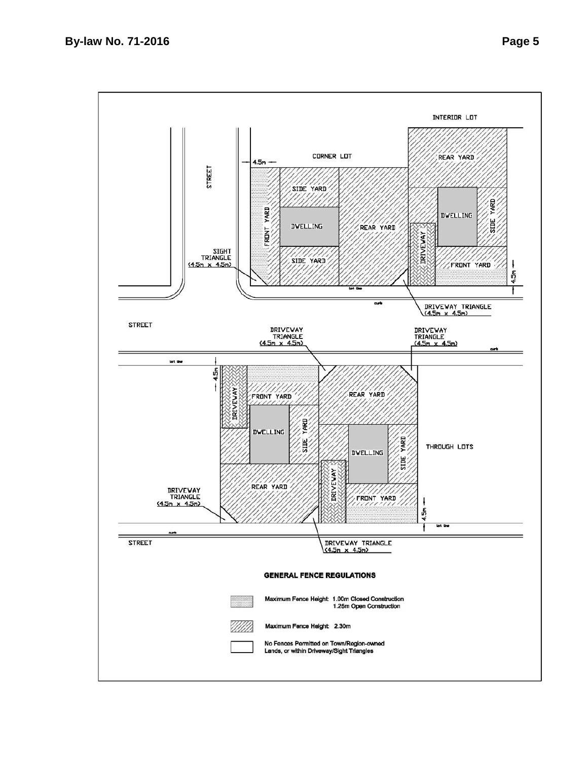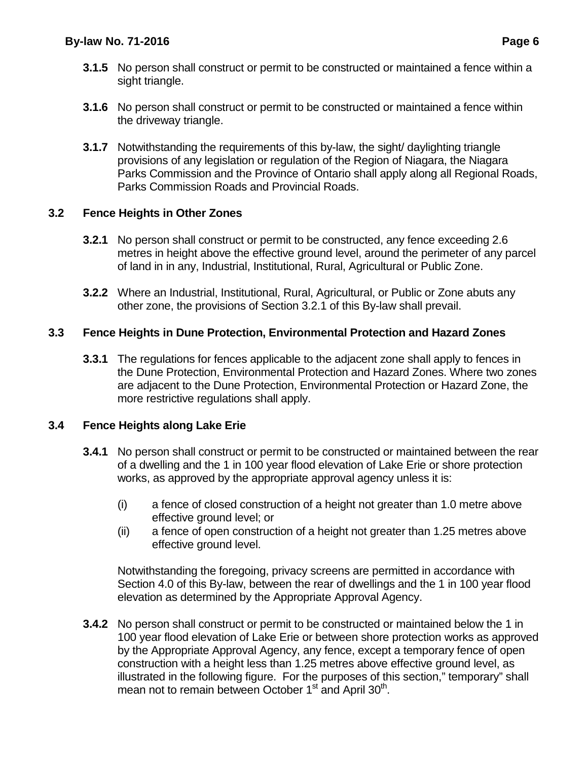- **3.1.5** No person shall construct or permit to be constructed or maintained a fence within a sight triangle.
- **3.1.6** No person shall construct or permit to be constructed or maintained a fence within the driveway triangle.
- **3.1.7** Notwithstanding the requirements of this by-law, the sight/ daylighting triangle provisions of any legislation or regulation of the Region of Niagara, the Niagara Parks Commission and the Province of Ontario shall apply along all Regional Roads, Parks Commission Roads and Provincial Roads.

## **3.2 Fence Heights in Other Zones**

- **3.2.1** No person shall construct or permit to be constructed, any fence exceeding 2.6 metres in height above the effective ground level, around the perimeter of any parcel of land in in any, Industrial, Institutional, Rural, Agricultural or Public Zone.
- **3.2.2** Where an Industrial, Institutional, Rural, Agricultural, or Public or Zone abuts any other zone, the provisions of Section 3.2.1 of this By-law shall prevail.

## **3.3 Fence Heights in Dune Protection, Environmental Protection and Hazard Zones**

**3.3.1** The regulations for fences applicable to the adjacent zone shall apply to fences in the Dune Protection, Environmental Protection and Hazard Zones. Where two zones are adjacent to the Dune Protection, Environmental Protection or Hazard Zone, the more restrictive regulations shall apply.

#### **3.4 Fence Heights along Lake Erie**

- **3.4.1** No person shall construct or permit to be constructed or maintained between the rear of a dwelling and the 1 in 100 year flood elevation of Lake Erie or shore protection works, as approved by the appropriate approval agency unless it is:
	- (i) a fence of closed construction of a height not greater than 1.0 metre above effective ground level; or
	- (ii) a fence of open construction of a height not greater than 1.25 metres above effective ground level.

Notwithstanding the foregoing, privacy screens are permitted in accordance with Section 4.0 of this By-law, between the rear of dwellings and the 1 in 100 year flood elevation as determined by the Appropriate Approval Agency.

**3.4.2** No person shall construct or permit to be constructed or maintained below the 1 in 100 year flood elevation of Lake Erie or between shore protection works as approved by the Appropriate Approval Agency, any fence, except a temporary fence of open construction with a height less than 1.25 metres above effective ground level, as illustrated in the following figure. For the purposes of this section," temporary" shall mean not to remain between October 1<sup>st</sup> and April 30<sup>th</sup>.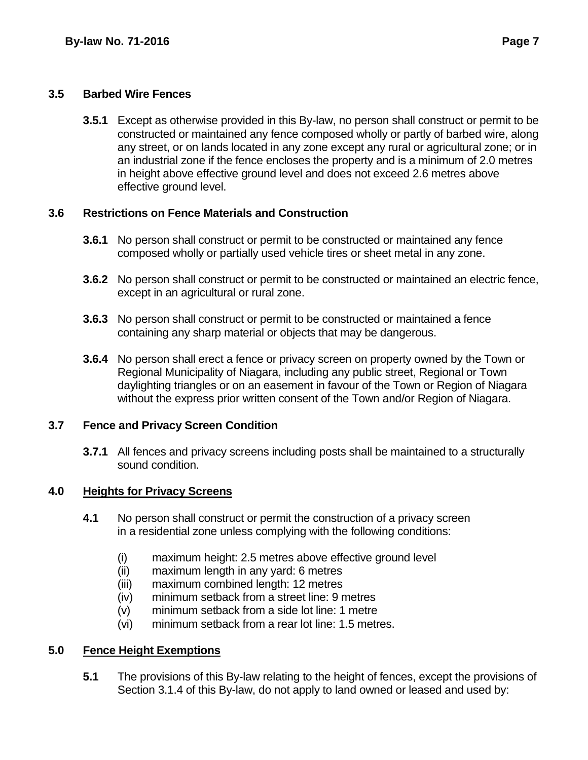#### **3.5 Barbed Wire Fences**

**3.5.1** Except as otherwise provided in this By-law, no person shall construct or permit to be constructed or maintained any fence composed wholly or partly of barbed wire, along any street, or on lands located in any zone except any rural or agricultural zone; or in an industrial zone if the fence encloses the property and is a minimum of 2.0 metres in height above effective ground level and does not exceed 2.6 metres above effective ground level.

## **3.6 Restrictions on Fence Materials and Construction**

- **3.6.1** No person shall construct or permit to be constructed or maintained any fence composed wholly or partially used vehicle tires or sheet metal in any zone.
- **3.6.2** No person shall construct or permit to be constructed or maintained an electric fence, except in an agricultural or rural zone.
- **3.6.3** No person shall construct or permit to be constructed or maintained a fence containing any sharp material or objects that may be dangerous.
- **3.6.4** No person shall erect a fence or privacy screen on property owned by the Town or Regional Municipality of Niagara, including any public street, Regional or Town daylighting triangles or on an easement in favour of the Town or Region of Niagara without the express prior written consent of the Town and/or Region of Niagara.

#### **3.7 Fence and Privacy Screen Condition**

**3.7.1** All fences and privacy screens including posts shall be maintained to a structurally sound condition.

## **4.0 Heights for Privacy Screens**

- **4.1** No person shall construct or permit the construction of a privacy screen in a residential zone unless complying with the following conditions:
	- (i) maximum height: 2.5 metres above effective ground level
	- (ii) maximum length in any yard: 6 metres
	- (iii) maximum combined length: 12 metres
	- (iv) minimum setback from a street line: 9 metres
	- (v) minimum setback from a side lot line: 1 metre
	- (vi) minimum setback from a rear lot line: 1.5 metres.

## **5.0 Fence Height Exemptions**

**5.1** The provisions of this By-law relating to the height of fences, except the provisions of Section 3.1.4 of this By-law, do not apply to land owned or leased and used by: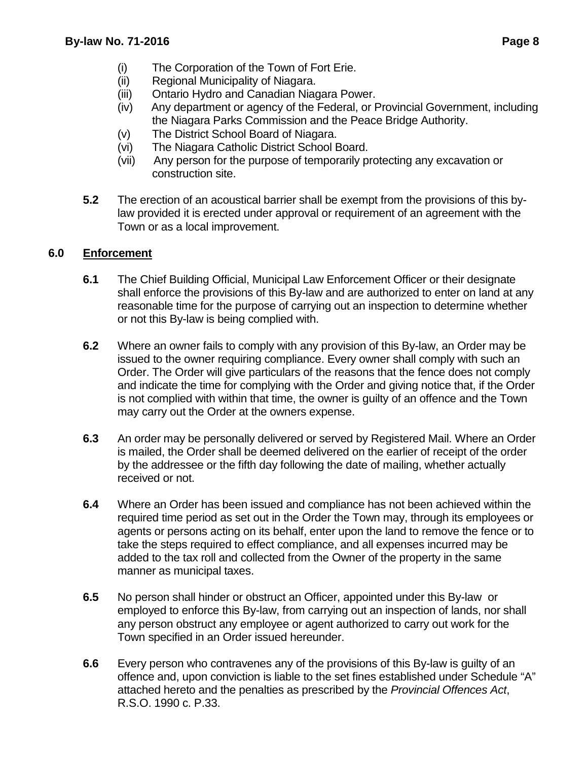- (i) The Corporation of the Town of Fort Erie.
- (ii) Regional Municipality of Niagara.
- (iii) Ontario Hydro and Canadian Niagara Power.
- (iv) Any department or agency of the Federal, or Provincial Government, including the Niagara Parks Commission and the Peace Bridge Authority.
- (v) The District School Board of Niagara.
- (vi) The Niagara Catholic District School Board.
- (vii) Any person for the purpose of temporarily protecting any excavation or construction site.
- **5.2** The erection of an acoustical barrier shall be exempt from the provisions of this bylaw provided it is erected under approval or requirement of an agreement with the Town or as a local improvement.

## **6.0 Enforcement**

- **6.1** The Chief Building Official, Municipal Law Enforcement Officer or their designate shall enforce the provisions of this By-law and are authorized to enter on land at any reasonable time for the purpose of carrying out an inspection to determine whether or not this By-law is being complied with.
- **6.2** Where an owner fails to comply with any provision of this By-law, an Order may be issued to the owner requiring compliance. Every owner shall comply with such an Order. The Order will give particulars of the reasons that the fence does not comply and indicate the time for complying with the Order and giving notice that, if the Order is not complied with within that time, the owner is guilty of an offence and the Town may carry out the Order at the owners expense.
- **6.3** An order may be personally delivered or served by Registered Mail. Where an Order is mailed, the Order shall be deemed delivered on the earlier of receipt of the order by the addressee or the fifth day following the date of mailing, whether actually received or not.
- **6.4** Where an Order has been issued and compliance has not been achieved within the required time period as set out in the Order the Town may, through its employees or agents or persons acting on its behalf, enter upon the land to remove the fence or to take the steps required to effect compliance, and all expenses incurred may be added to the tax roll and collected from the Owner of the property in the same manner as municipal taxes.
- **6.5** No person shall hinder or obstruct an Officer, appointed under this By-law or employed to enforce this By-law, from carrying out an inspection of lands, nor shall any person obstruct any employee or agent authorized to carry out work for the Town specified in an Order issued hereunder.
- **6.6** Every person who contravenes any of the provisions of this By-law is guilty of an offence and, upon conviction is liable to the set fines established under Schedule "A" attached hereto and the penalties as prescribed by the *Provincial Offences Act*, R.S.O. 1990 c. P.33.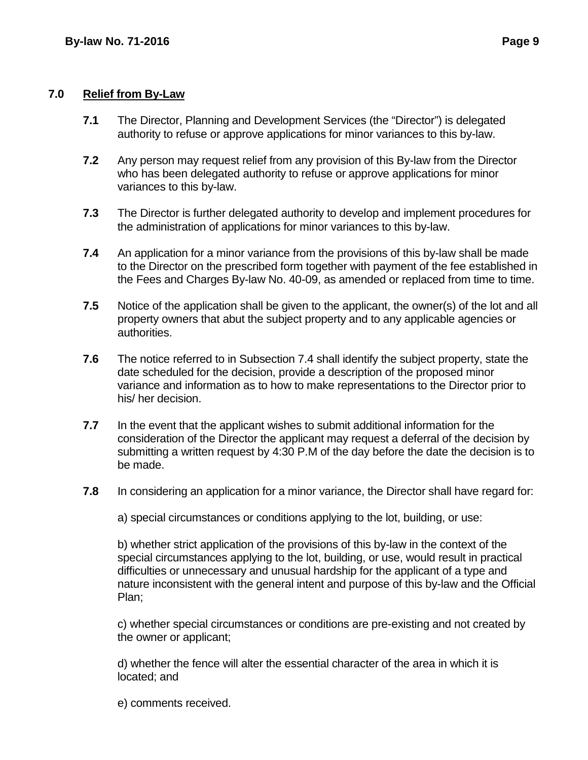#### **7.0 Relief from By-Law**

- **7.1** The Director, Planning and Development Services (the "Director") is delegated authority to refuse or approve applications for minor variances to this by-law.
- **7.2** Any person may request relief from any provision of this By-law from the Director who has been delegated authority to refuse or approve applications for minor variances to this by-law.
- **7.3** The Director is further delegated authority to develop and implement procedures for the administration of applications for minor variances to this by-law.
- **7.4** An application for a minor variance from the provisions of this by-law shall be made to the Director on the prescribed form together with payment of the fee established in the Fees and Charges By-law No. 40-09, as amended or replaced from time to time.
- **7.5** Notice of the application shall be given to the applicant, the owner(s) of the lot and all property owners that abut the subject property and to any applicable agencies or authorities.
- **7.6** The notice referred to in Subsection 7.4 shall identify the subject property, state the date scheduled for the decision, provide a description of the proposed minor variance and information as to how to make representations to the Director prior to his/ her decision.
- **7.7** In the event that the applicant wishes to submit additional information for the consideration of the Director the applicant may request a deferral of the decision by submitting a written request by 4:30 P.M of the day before the date the decision is to be made.
- **7.8** In considering an application for a minor variance, the Director shall have regard for:

a) special circumstances or conditions applying to the lot, building, or use:

b) whether strict application of the provisions of this by-law in the context of the special circumstances applying to the lot, building, or use, would result in practical difficulties or unnecessary and unusual hardship for the applicant of a type and nature inconsistent with the general intent and purpose of this by-law and the Official Plan;

c) whether special circumstances or conditions are pre-existing and not created by the owner or applicant;

d) whether the fence will alter the essential character of the area in which it is located; and

e) comments received.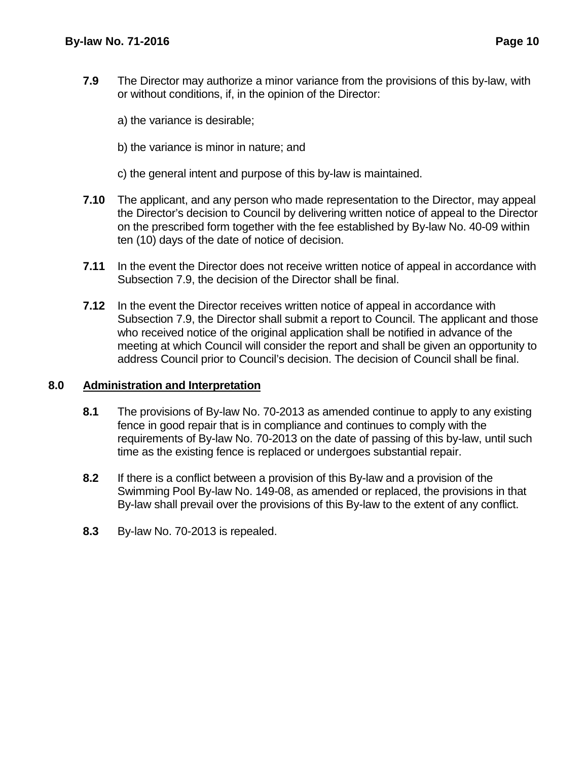- **7.9** The Director may authorize a minor variance from the provisions of this by-law, with or without conditions, if, in the opinion of the Director:
	- a) the variance is desirable;
	- b) the variance is minor in nature; and
	- c) the general intent and purpose of this by-law is maintained.
- **7.10** The applicant, and any person who made representation to the Director, may appeal the Director's decision to Council by delivering written notice of appeal to the Director on the prescribed form together with the fee established by By-law No. 40-09 within ten (10) days of the date of notice of decision.
- **7.11** In the event the Director does not receive written notice of appeal in accordance with Subsection 7.9, the decision of the Director shall be final.
- **7.12** In the event the Director receives written notice of appeal in accordance with Subsection 7.9, the Director shall submit a report to Council. The applicant and those who received notice of the original application shall be notified in advance of the meeting at which Council will consider the report and shall be given an opportunity to address Council prior to Council's decision. The decision of Council shall be final.

#### **8.0 Administration and Interpretation**

- **8.1** The provisions of By-law No. 70-2013 as amended continue to apply to any existing fence in good repair that is in compliance and continues to comply with the requirements of By-law No. 70-2013 on the date of passing of this by-law, until such time as the existing fence is replaced or undergoes substantial repair.
- **8.2** If there is a conflict between a provision of this By-law and a provision of the Swimming Pool By-law No. 149-08, as amended or replaced, the provisions in that By-law shall prevail over the provisions of this By-law to the extent of any conflict.
- **8.3** By-law No. 70-2013 is repealed.